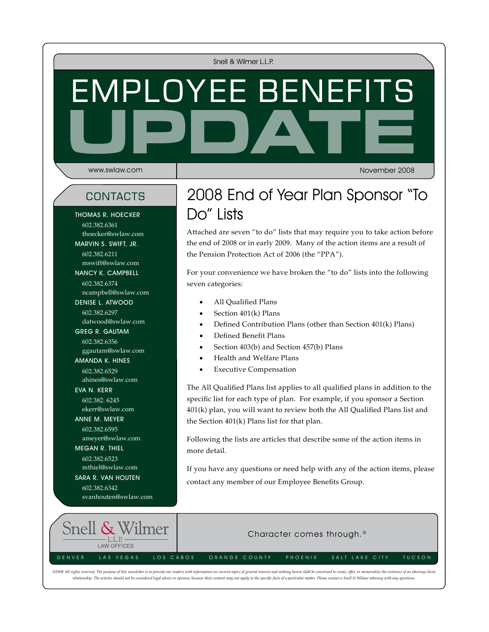Snell & Wilmer L.L.P.

# **UPDATE** Employee Benefits

www.swlaw.com

November 2008

Thomas R. Hoecker 602.382.6361 thoecker@swlaw.com marvin s. swift, Jr. 602.382.6211 mswift@swlaw.com nancy k. campbell 602.382.6374 ncampbell@swlaw.com denise l. atwood 602.382.6297 datwood@swlaw.com Greg R. Gautam 602.382.6356 ggautam@swlaw.com Amanda K. Hines 602.382.6529 ahines@swlaw.com EVA N. KERR 602.382. 6245 ekerr@swlaw.com anne m. meyer 602.382.6595 ameyer@swlaw.com megan r. thiel 602.382.6523 mthiel@swlaw.com

sara r. van houten 602.382.6342

svanhouten@swlaw.com

contacts 2008 End of Year Plan Sponsor "To Do" Lists

> Attached are seven "to do" lists that may require you to take action before the end of 2008 or in early 2009. Many of the action items are a result of the Pension Protection Act of 2006 (the "PPA").

For your convenience we have broken the "to do" lists into the following seven categories:

- All Qualified Plans
- Section 401(k) Plans
- Defined Contribution Plans (other than Section 401(k) Plans)
- Defined Benefit Plans
- Section 403(b) and Section 457(b) Plans
- Health and Welfare Plans
- **Executive Compensation**

The All Qualified Plans list applies to all qualified plans in addition to the specific list for each type of plan. For example, if you sponsor a Section 401(k) plan, you will want to review both the All Qualified Plans list and the Section 401(k) Plans list for that plan.

Following the lists are articles that describe some of the action items in more detail.

If you have any questions or need help with any of the action items, please contact any member of our Employee Benefits Group.



©2008 All rights reserved. The purpose of this newsletter is to provide our readers with information on current topics of general interest and nothing herein shall be construed to create, offer, or memorialize the existenc relationship. The articles should not be considered legal advice or opinion, because their content may not apply to the specific facts of a particular matter. Please contact a Snell & Wilmer attorney with any questions.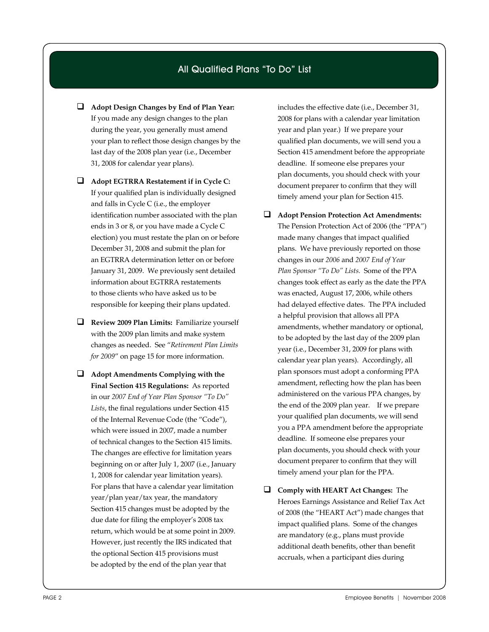#### All Qualified Plans "To Do" List

- **Adopt Design Changes by End of Plan Year:**  If you made any design changes to the plan during the year, you generally must amend your plan to reflect those design changes by the last day of the 2008 plan year (i.e., December 31, 2008 for calendar year plans).
- **Adopt EGTRRA Restatement if in Cycle C:** If your qualified plan is individually designed and falls in Cycle C (i.e., the employer identification number associated with the plan ends in 3 or 8, or you have made a Cycle C election) you must restate the plan on or before December 31, 2008 and submit the plan for an EGTRRA determination letter on or before January 31, 2009. We previously sent detailed information about EGTRRA restatements to those clients who have asked us to be responsible for keeping their plans updated.
- **Review 2009 Plan Limits:** Familiarize yourself with the 2009 plan limits and make system changes as needed. See "*Retirement Plan Limits for 2009*" on page 15 for more information.
- **Adopt Amendments Complying with the Final Section 415 Regulations:** As reported in our *2007 End of Year Plan Sponsor "To Do" Lists*, the final regulations under Section 415 of the Internal Revenue Code (the "Code"), which were issued in 2007, made a number of technical changes to the Section 415 limits. The changes are effective for limitation years beginning on or after July 1, 2007 (i.e., January 1, 2008 for calendar year limitation years). For plans that have a calendar year limitation year/plan year/tax year, the mandatory Section 415 changes must be adopted by the due date for filing the employer's 2008 tax return, which would be at some point in 2009. However, just recently the IRS indicated that the optional Section 415 provisions must be adopted by the end of the plan year that

includes the effective date (i.e., December 31, 2008 for plans with a calendar year limitation year and plan year.) If we prepare your qualified plan documents, we will send you a Section 415 amendment before the appropriate deadline. If someone else prepares your plan documents, you should check with your document preparer to confirm that they will timely amend your plan for Section 415.

- **Adopt Pension Protection Act Amendments:**  The Pension Protection Act of 2006 (the "PPA") made many changes that impact qualified plans. We have previously reported on those changes in our *2006* and *2007 End of Year Plan Sponsor "To Do" Lists.* Some of the PPA changes took effect as early as the date the PPA was enacted, August 17, 2006, while others had delayed effective dates. The PPA included a helpful provision that allows all PPA amendments, whether mandatory or optional, to be adopted by the last day of the 2009 plan year (i.e., December 31, 2009 for plans with calendar year plan years). Accordingly, all plan sponsors must adopt a conforming PPA amendment, reflecting how the plan has been administered on the various PPA changes, by the end of the 2009 plan year. If we prepare your qualified plan documents, we will send you a PPA amendment before the appropriate deadline. If someone else prepares your plan documents, you should check with your document preparer to confirm that they will timely amend your plan for the PPA.
- **Comply with HEART Act Changes:** The Heroes Earnings Assistance and Relief Tax Act of 2008 (the "HEART Act") made changes that impact qualified plans. Some of the changes are mandatory (e.g., plans must provide additional death benefits, other than benefit accruals, when a participant dies during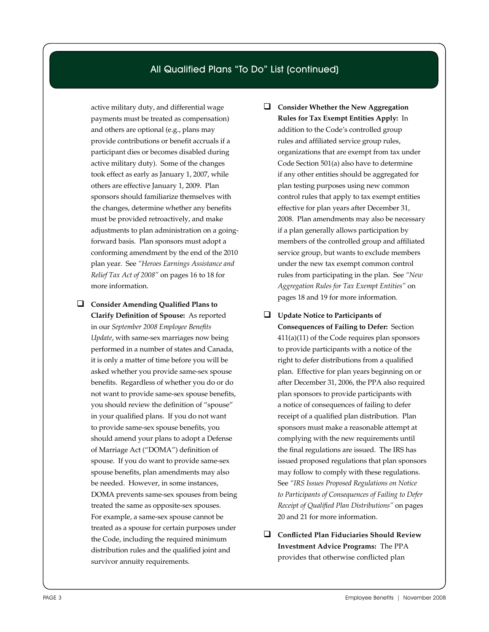#### All Qualified Plans "To Do" List (continued)

active military duty, and differential wage payments must be treated as compensation) and others are optional (e.g., plans may provide contributions or benefit accruals if a participant dies or becomes disabled during active military duty). Some of the changes took effect as early as January 1, 2007, while others are effective January 1, 2009. Plan sponsors should familiarize themselves with the changes, determine whether any benefits must be provided retroactively, and make adjustments to plan administration on a goingforward basis. Plan sponsors must adopt a conforming amendment by the end of the 2010 plan year. See *"Heroes Earnings Assistance and Relief Tax Act of 2008"* on pages 16 to 18 for more information.

- **Consider Amending Qualified Plans to Clarify Definition of Spouse:** As reported in our *September 2008 Employee Benefits Update*, with same-sex marriages now being performed in a number of states and Canada, it is only a matter of time before you will be asked whether you provide same-sex spouse benefits. Regardless of whether you do or do not want to provide same-sex spouse benefits, you should review the definition of "spouse" in your qualified plans. If you do not want to provide same-sex spouse benefits, you should amend your plans to adopt a Defense of Marriage Act ("DOMA") definition of spouse. If you do want to provide same-sex spouse benefits, plan amendments may also be needed. However, in some instances, DOMA prevents same-sex spouses from being treated the same as opposite-sex spouses. For example, a same-sex spouse cannot be treated as a spouse for certain purposes under the Code, including the required minimum distribution rules and the qualified joint and survivor annuity requirements.
- **Consider Whether the New Aggregation Rules for Tax Exempt Entities Apply:** In addition to the Code's controlled group rules and affiliated service group rules, organizations that are exempt from tax under Code Section 501(a) also have to determine if any other entities should be aggregated for plan testing purposes using new common control rules that apply to tax exempt entities effective for plan years after December 31, 2008. Plan amendments may also be necessary if a plan generally allows participation by members of the controlled group and affiliated service group, but wants to exclude members under the new tax exempt common control rules from participating in the plan. See *"New Aggregation Rules for Tax Exempt Entities"* on pages 18 and 19 for more information.
- **Update Notice to Participants of Consequences of Failing to Defer:** Section 411(a)(11) of the Code requires plan sponsors to provide participants with a notice of the right to defer distributions from a qualified plan. Effective for plan years beginning on or after December 31, 2006, the PPA also required plan sponsors to provide participants with a notice of consequences of failing to defer receipt of a qualified plan distribution. Plan sponsors must make a reasonable attempt at complying with the new requirements until the final regulations are issued. The IRS has issued proposed regulations that plan sponsors may follow to comply with these regulations. See *"IRS Issues Proposed Regulations on Notice to Participants of Consequences of Failing to Defer Receipt of Qualified Plan Distributions"* on pages 20 and 21 for more information.
- **Conflicted Plan Fiduciaries Should Review Investment Advice Programs:** The PPA provides that otherwise conflicted plan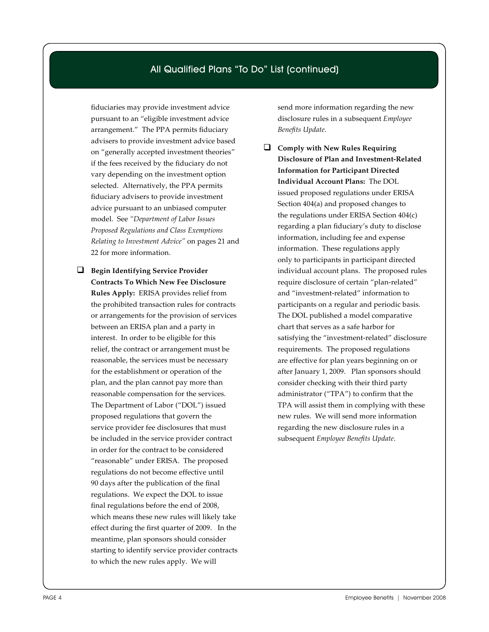#### All Qualified Plans "To Do" List (continued)

fiduciaries may provide investment advice pursuant to an "eligible investment advice arrangement." The PPA permits fiduciary advisers to provide investment advice based on "generally accepted investment theories" if the fees received by the fiduciary do not vary depending on the investment option selected. Alternatively, the PPA permits fiduciary advisers to provide investment advice pursuant to an unbiased computer model. See *"Department of Labor Issues Proposed Regulations and Class Exemptions Relating to Investment Advice"* on pages 21 and 22 for more information.

 **Begin Identifying Service Provider Contracts To Which New Fee Disclosure Rules Apply:** ERISA provides relief from the prohibited transaction rules for contracts or arrangements for the provision of services between an ERISA plan and a party in interest. In order to be eligible for this relief, the contract or arrangement must be reasonable, the services must be necessary for the establishment or operation of the plan, and the plan cannot pay more than reasonable compensation for the services. The Department of Labor ("DOL") issued proposed regulations that govern the service provider fee disclosures that must be included in the service provider contract in order for the contract to be considered "reasonable" under ERISA. The proposed regulations do not become effective until 90 days after the publication of the final regulations. We expect the DOL to issue final regulations before the end of 2008, which means these new rules will likely take effect during the first quarter of 2009. In the meantime, plan sponsors should consider starting to identify service provider contracts to which the new rules apply. We will

send more information regarding the new disclosure rules in a subsequent *Employee Benefits Update*.

 **Comply with New Rules Requiring Disclosure of Plan and Investment-Related Information for Participant Directed Individual Account Plans:** The DOL issued proposed regulations under ERISA Section 404(a) and proposed changes to the regulations under ERISA Section 404(c) regarding a plan fiduciary's duty to disclose information, including fee and expense information. These regulations apply only to participants in participant directed individual account plans. The proposed rules require disclosure of certain "plan-related" and "investment-related" information to participants on a regular and periodic basis. The DOL published a model comparative chart that serves as a safe harbor for satisfying the "investment-related" disclosure requirements. The proposed regulations are effective for plan years beginning on or after January 1, 2009. Plan sponsors should consider checking with their third party administrator ("TPA") to confirm that the TPA will assist them in complying with these new rules. We will send more information regarding the new disclosure rules in a subsequent *Employee Benefits Update*.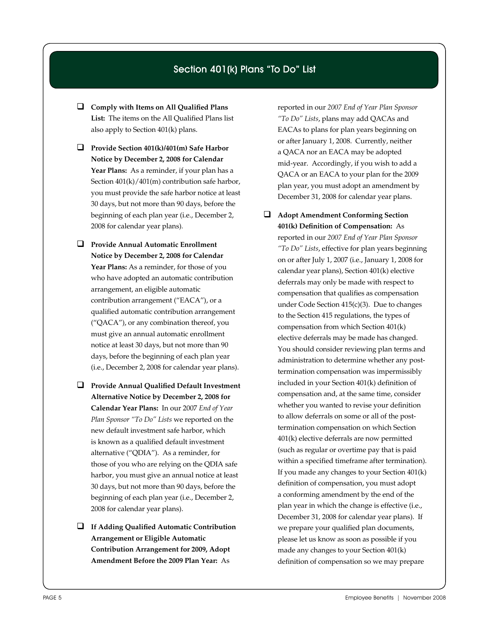#### Section 401(k) Plans "To Do" List

- **Comply with Items on All Qualified Plans List:** The items on the All Qualified Plans list also apply to Section 401(k) plans.
- **Provide Section 401(k)/401(m) Safe Harbor Notice by December 2, 2008 for Calendar**  Year Plans: As a reminder, if your plan has a Section 401(k)/401(m) contribution safe harbor, you must provide the safe harbor notice at least 30 days, but not more than 90 days, before the beginning of each plan year (i.e., December 2, 2008 for calendar year plans)*.*
- **Provide Annual Automatic Enrollment Notice by December 2, 2008 for Calendar Year Plans:** As a reminder, for those of you who have adopted an automatic contribution arrangement, an eligible automatic contribution arrangement ("EACA"), or a qualified automatic contribution arrangement ("QACA"), or any combination thereof, you must give an annual automatic enrollment notice at least 30 days, but not more than 90 days, before the beginning of each plan year (i.e., December 2, 2008 for calendar year plans).
- **Provide Annual Qualified Default Investment Alternative Notice by December 2, 2008 for Calendar Year Plans:** In our 2007 *End of Year Plan Sponsor "To Do" Lists* we reported on the new default investment safe harbor, which is known as a qualified default investment alternative ("QDIA"). As a reminder, for those of you who are relying on the QDIA safe harbor, you must give an annual notice at least 30 days, but not more than 90 days, before the beginning of each plan year (i.e., December 2, 2008 for calendar year plans).
- **If Adding Qualified Automatic Contribution Arrangement or Eligible Automatic Contribution Arrangement for 2009, Adopt Amendment Before the 2009 Plan Year:** As

reported in our *2007 End of Year Plan Sponsor "To Do" Lists*, plans may add QACAs and EACAs to plans for plan years beginning on or after January 1, 2008. Currently, neither a QACA nor an EACA may be adopted mid-year. Accordingly, if you wish to add a QACA or an EACA to your plan for the 2009 plan year, you must adopt an amendment by December 31, 2008 for calendar year plans.

 **Adopt Amendment Conforming Section 401(k) Definition of Compensation:** As reported in our *2007 End of Year Plan Sponsor "To Do" Lists*, effective for plan years beginning on or after July 1, 2007 (i.e., January 1, 2008 for calendar year plans), Section 401(k) elective deferrals may only be made with respect to compensation that qualifies as compensation under Code Section 415(c)(3). Due to changes to the Section 415 regulations, the types of compensation from which Section 401(k) elective deferrals may be made has changed. You should consider reviewing plan terms and administration to determine whether any posttermination compensation was impermissibly included in your Section 401(k) definition of compensation and, at the same time, consider whether you wanted to revise your definition to allow deferrals on some or all of the posttermination compensation on which Section 401(k) elective deferrals are now permitted (such as regular or overtime pay that is paid within a specified timeframe after termination). If you made any changes to your Section 401(k) definition of compensation, you must adopt a conforming amendment by the end of the plan year in which the change is effective (i.e., December 31, 2008 for calendar year plans). If we prepare your qualified plan documents, please let us know as soon as possible if you made any changes to your Section 401(k) definition of compensation so we may prepare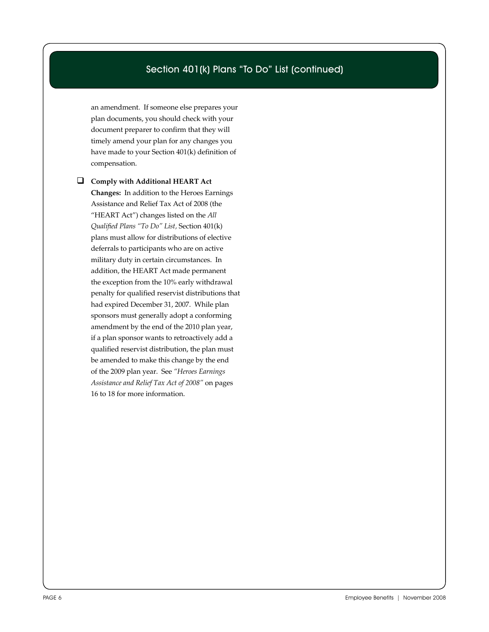#### Section 401(k) Plans "To Do" List (continued)

an amendment. If someone else prepares your plan documents, you should check with your document preparer to confirm that they will timely amend your plan for any changes you have made to your Section 401(k) definition of compensation.

 **Comply with Additional HEART Act Changes:** In addition to the Heroes Earnings Assistance and Relief Tax Act of 2008 (the "HEART Act") changes listed on the *All Qualified Plans "To Do" List,* Section 401(k) plans must allow for distributions of elective deferrals to participants who are on active military duty in certain circumstances. In addition, the HEART Act made permanent the exception from the 10% early withdrawal penalty for qualified reservist distributions that had expired December 31, 2007. While plan sponsors must generally adopt a conforming amendment by the end of the 2010 plan year, if a plan sponsor wants to retroactively add a qualified reservist distribution, the plan must be amended to make this change by the end of the 2009 plan year. See *"Heroes Earnings Assistance and Relief Tax Act of 2008"* on pages 16 to 18 for more information.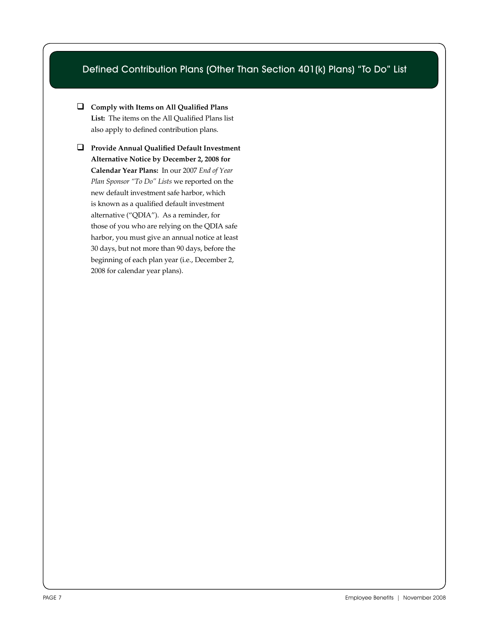### Defined Contribution Plans (Other Than Section 401(k) Plans) "To Do" List

 **Comply with Items on All Qualified Plans List:** The items on the All Qualified Plans list also apply to defined contribution plans.

 **Provide Annual Qualified Default Investment Alternative Notice by December 2, 2008 for Calendar Year Plans:** In our 2007 *End of Year Plan Sponsor "To Do" Lists* we reported on the new default investment safe harbor, which is known as a qualified default investment alternative ("QDIA"). As a reminder, for those of you who are relying on the QDIA safe harbor, you must give an annual notice at least 30 days, but not more than 90 days, before the beginning of each plan year (i.e., December 2, 2008 for calendar year plans).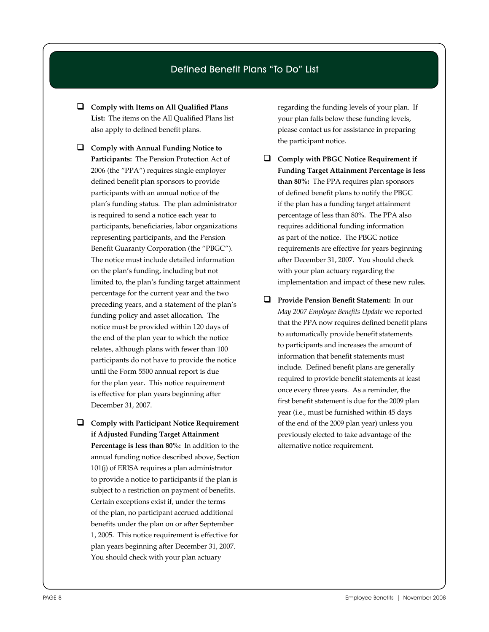#### Defined Benefit Plans "To Do" List

- **Comply with Items on All Qualified Plans List:** The items on the All Qualified Plans list also apply to defined benefit plans.
- **Comply with Annual Funding Notice to Participants:** The Pension Protection Act of 2006 (the "PPA") requires single employer defined benefit plan sponsors to provide participants with an annual notice of the plan's funding status. The plan administrator is required to send a notice each year to participants, beneficiaries, labor organizations representing participants, and the Pension Benefit Guaranty Corporation (the "PBGC"). The notice must include detailed information on the plan's funding, including but not limited to, the plan's funding target attainment percentage for the current year and the two preceding years, and a statement of the plan's funding policy and asset allocation. The notice must be provided within 120 days of the end of the plan year to which the notice relates, although plans with fewer than 100 participants do not have to provide the notice until the Form 5500 annual report is due for the plan year. This notice requirement is effective for plan years beginning after December 31, 2007.
- **Comply with Participant Notice Requirement if Adjusted Funding Target Attainment Percentage is less than 80%:** In addition to the annual funding notice described above, Section 101(j) of ERISA requires a plan administrator to provide a notice to participants if the plan is subject to a restriction on payment of benefits. Certain exceptions exist if, under the terms of the plan, no participant accrued additional benefits under the plan on or after September 1, 2005. This notice requirement is effective for plan years beginning after December 31, 2007. You should check with your plan actuary

regarding the funding levels of your plan. If your plan falls below these funding levels, please contact us for assistance in preparing the participant notice.

- **Comply with PBGC Notice Requirement if Funding Target Attainment Percentage is less than 80%:** The PPA requires plan sponsors of defined benefit plans to notify the PBGC if the plan has a funding target attainment percentage of less than 80%. The PPA also requires additional funding information as part of the notice. The PBGC notice requirements are effective for years beginning after December 31, 2007. You should check with your plan actuary regarding the implementation and impact of these new rules.
- **Provide Pension Benefit Statement:** In our *May 2007 Employee Benefits Update* we reported that the PPA now requires defined benefit plans to automatically provide benefit statements to participants and increases the amount of information that benefit statements must include. Defined benefit plans are generally required to provide benefit statements at least once every three years. As a reminder, the first benefit statement is due for the 2009 plan year (i.e., must be furnished within 45 days of the end of the 2009 plan year) unless you previously elected to take advantage of the alternative notice requirement.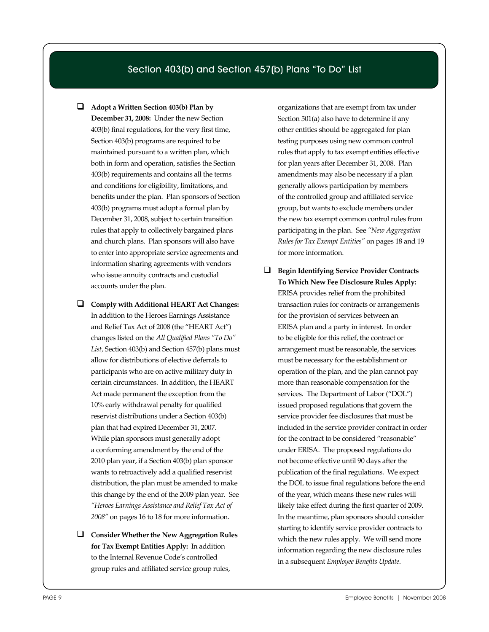#### Section 403(b) and Section 457(b) Plans "To Do" List

- **Adopt a Written Section 403(b) Plan by December 31, 2008:** Under the new Section 403(b) final regulations, for the very first time, Section 403(b) programs are required to be maintained pursuant to a written plan, which both in form and operation, satisfies the Section 403(b) requirements and contains all the terms and conditions for eligibility, limitations, and benefits under the plan. Plan sponsors of Section 403(b) programs must adopt a formal plan by December 31, 2008, subject to certain transition rules that apply to collectively bargained plans and church plans. Plan sponsors will also have to enter into appropriate service agreements and information sharing agreements with vendors who issue annuity contracts and custodial accounts under the plan.
- **Comply with Additional HEART Act Changes:**  In addition to the Heroes Earnings Assistance and Relief Tax Act of 2008 (the "HEART Act") changes listed on the *All Qualified Plans "To Do" List,* Section 403(b) and Section 457(b) plans must allow for distributions of elective deferrals to participants who are on active military duty in certain circumstances. In addition, the HEART Act made permanent the exception from the 10% early withdrawal penalty for qualified reservist distributions under a Section 403(b) plan that had expired December 31, 2007. While plan sponsors must generally adopt a conforming amendment by the end of the 2010 plan year, if a Section 403(b) plan sponsor wants to retroactively add a qualified reservist distribution, the plan must be amended to make this change by the end of the 2009 plan year. See *"Heroes Earnings Assistance and Relief Tax Act of 2008"* on pages 16 to 18 for more information.
- **Consider Whether the New Aggregation Rules for Tax Exempt Entities Apply:** In addition to the Internal Revenue Code's controlled group rules and affiliated service group rules,

organizations that are exempt from tax under Section 501(a) also have to determine if any other entities should be aggregated for plan testing purposes using new common control rules that apply to tax exempt entities effective for plan years after December 31, 2008. Plan amendments may also be necessary if a plan generally allows participation by members of the controlled group and affiliated service group, but wants to exclude members under the new tax exempt common control rules from participating in the plan. See *"New Aggregation Rules for Tax Exempt Entities"* on pages 18 and 19 for more information.

 **Begin Identifying Service Provider Contracts To Which New Fee Disclosure Rules Apply:** ERISA provides relief from the prohibited transaction rules for contracts or arrangements for the provision of services between an ERISA plan and a party in interest. In order to be eligible for this relief, the contract or arrangement must be reasonable, the services must be necessary for the establishment or operation of the plan, and the plan cannot pay more than reasonable compensation for the services. The Department of Labor ("DOL") issued proposed regulations that govern the service provider fee disclosures that must be included in the service provider contract in order for the contract to be considered "reasonable" under ERISA. The proposed regulations do not become effective until 90 days after the publication of the final regulations. We expect the DOL to issue final regulations before the end of the year, which means these new rules will likely take effect during the first quarter of 2009. In the meantime, plan sponsors should consider starting to identify service provider contracts to which the new rules apply. We will send more information regarding the new disclosure rules in a subsequent *Employee Benefits Update*.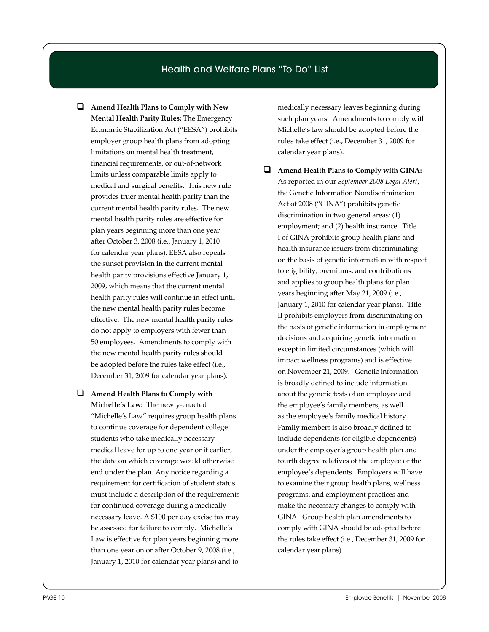#### Health and Welfare Plans "To Do" List

- **Amend Health Plans to Comply with New Mental Health Parity Rules:** The Emergency Economic Stabilization Act ("EESA") prohibits employer group health plans from adopting limitations on mental health treatment, financial requirements, or out-of-network limits unless comparable limits apply to medical and surgical benefits. This new rule provides truer mental health parity than the current mental health parity rules. The new mental health parity rules are effective for plan years beginning more than one year after October 3, 2008 (i.e., January 1, 2010 for calendar year plans). EESA also repeals the sunset provision in the current mental health parity provisions effective January 1, 2009, which means that the current mental health parity rules will continue in effect until the new mental health parity rules become effective. The new mental health parity rules do not apply to employers with fewer than 50 employees. Amendments to comply with the new mental health parity rules should be adopted before the rules take effect (i.e., December 31, 2009 for calendar year plans).
- **Amend Health Plans to Comply with Michelle's Law:** The newly-enacted "Michelle's Law" requires group health plans to continue coverage for dependent college students who take medically necessary medical leave for up to one year or if earlier, the date on which coverage would otherwise end under the plan. Any notice regarding a requirement for certification of student status must include a description of the requirements for continued coverage during a medically necessary leave. A \$100 per day excise tax may be assessed for failure to comply. Michelle's Law is effective for plan years beginning more than one year on or after October 9, 2008 (i.e., January 1, 2010 for calendar year plans) and to

medically necessary leaves beginning during such plan years. Amendments to comply with Michelle's law should be adopted before the rules take effect (i.e., December 31, 2009 for calendar year plans).

 **Amend Health Plans to Comply with GINA:**  As reported in our *September 2008 Legal Alert*, the Genetic Information Nondiscrimination Act of 2008 ("GINA") prohibits genetic discrimination in two general areas: (1) employment; and (2) health insurance. Title I of GINA prohibits group health plans and health insurance issuers from discriminating on the basis of genetic information with respect to eligibility, premiums, and contributions and applies to group health plans for plan years beginning after May 21, 2009 (i.e., January 1, 2010 for calendar year plans). Title II prohibits employers from discriminating on the basis of genetic information in employment decisions and acquiring genetic information except in limited circumstances (which will impact wellness programs) and is effective on November 21, 2009. Genetic information is broadly defined to include information about the genetic tests of an employee and the employee's family members, as well as the employee's family medical history. Family members is also broadly defined to include dependents (or eligible dependents) under the employer's group health plan and fourth degree relatives of the employee or the employee's dependents. Employers will have to examine their group health plans, wellness programs, and employment practices and make the necessary changes to comply with GINA. Group health plan amendments to comply with GINA should be adopted before the rules take effect (i.e., December 31, 2009 for calendar year plans).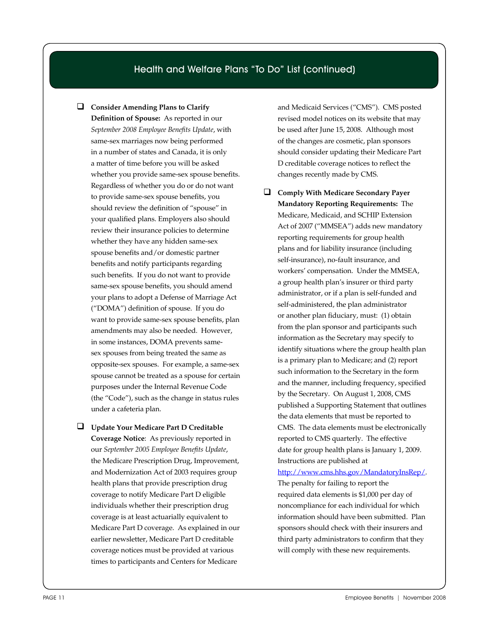#### Health and Welfare Plans "To Do" List (continued)

**Consider Amending Plans to Clarify** 

**Definition of Spouse:** As reported in our *September 2008 Employee Benefits Update*, with same-sex marriages now being performed in a number of states and Canada, it is only a matter of time before you will be asked whether you provide same-sex spouse benefits. Regardless of whether you do or do not want to provide same-sex spouse benefits, you should review the definition of "spouse" in your qualified plans. Employers also should review their insurance policies to determine whether they have any hidden same-sex spouse benefits and/or domestic partner benefits and notify participants regarding such benefits. If you do not want to provide same-sex spouse benefits, you should amend your plans to adopt a Defense of Marriage Act ("DOMA") definition of spouse. If you do want to provide same-sex spouse benefits, plan amendments may also be needed. However, in some instances, DOMA prevents samesex spouses from being treated the same as opposite-sex spouses. For example, a same-sex spouse cannot be treated as a spouse for certain purposes under the Internal Revenue Code (the "Code"), such as the change in status rules under a cafeteria plan.

 **Update Your Medicare Part D Creditable Coverage Notice**: As previously reported in our *September 2005 Employee Benefits Update*, the Medicare Prescription Drug, Improvement, and Modernization Act of 2003 requires group health plans that provide prescription drug coverage to notify Medicare Part D eligible individuals whether their prescription drug coverage is at least actuarially equivalent to Medicare Part D coverage. As explained in our earlier newsletter, Medicare Part D creditable coverage notices must be provided at various times to participants and Centers for Medicare

and Medicaid Services ("CMS"). CMS posted revised model notices on its website that may be used after June 15, 2008. Although most of the changes are cosmetic, plan sponsors should consider updating their Medicare Part D creditable coverage notices to reflect the changes recently made by CMS.

 **Comply With Medicare Secondary Payer Mandatory Reporting Requirements:** The Medicare, Medicaid, and SCHIP Extension Act of 2007 ("MMSEA") adds new mandatory reporting requirements for group health plans and for liability insurance (including self-insurance), no-fault insurance, and workers' compensation. Under the MMSEA, a group health plan's insurer or third party administrator, or if a plan is self-funded and self-administered, the plan administrator or another plan fiduciary, must: (1) obtain from the plan sponsor and participants such information as the Secretary may specify to identify situations where the group health plan is a primary plan to Medicare; and (2) report such information to the Secretary in the form and the manner, including frequency, specified by the Secretary. On August 1, 2008, CMS published a Supporting Statement that outlines the data elements that must be reported to CMS. The data elements must be electronically reported to CMS quarterly. The effective date for group health plans is January 1, 2009. Instructions are published at

#### http://www.cms.hhs.gov/MandatoryInsRep/. The penalty for failing to report the required data elements is \$1,000 per day of

noncompliance for each individual for which information should have been submitted. Plan sponsors should check with their insurers and third party administrators to confirm that they will comply with these new requirements.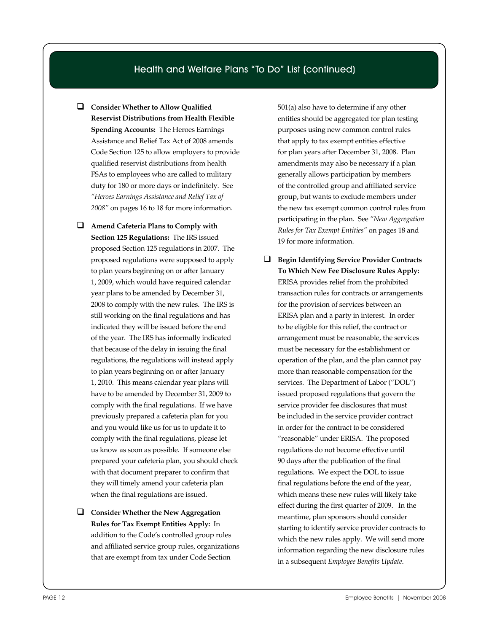#### Health and Welfare Plans "To Do" List (continued)

- **Consider Whether to Allow Qualified Reservist Distributions from Health Flexible Spending Accounts:** The Heroes Earnings Assistance and Relief Tax Act of 2008 amends Code Section 125 to allow employers to provide qualified reservist distributions from health FSAs to employees who are called to military duty for 180 or more days or indefinitely. See *"Heroes Earnings Assistance and Relief Tax of 2008"* on pages 16 to 18 for more information.
- **Amend Cafeteria Plans to Comply with Section 125 Regulations:** The IRS issued proposed Section 125 regulations in 2007. The proposed regulations were supposed to apply to plan years beginning on or after January 1, 2009, which would have required calendar year plans to be amended by December 31, 2008 to comply with the new rules. The IRS is still working on the final regulations and has indicated they will be issued before the end of the year. The IRS has informally indicated that because of the delay in issuing the final regulations, the regulations will instead apply to plan years beginning on or after January 1, 2010. This means calendar year plans will have to be amended by December 31, 2009 to comply with the final regulations. If we have previously prepared a cafeteria plan for you and you would like us for us to update it to comply with the final regulations, please let us know as soon as possible. If someone else prepared your cafeteria plan, you should check with that document preparer to confirm that they will timely amend your cafeteria plan when the final regulations are issued.
- **Consider Whether the New Aggregation Rules for Tax Exempt Entities Apply:** In addition to the Code's controlled group rules and affiliated service group rules, organizations that are exempt from tax under Code Section

501(a) also have to determine if any other entities should be aggregated for plan testing purposes using new common control rules that apply to tax exempt entities effective for plan years after December 31, 2008. Plan amendments may also be necessary if a plan generally allows participation by members of the controlled group and affiliated service group, but wants to exclude members under the new tax exempt common control rules from participating in the plan. See *"New Aggregation Rules for Tax Exempt Entities"* on pages 18 and 19 for more information.

 **Begin Identifying Service Provider Contracts To Which New Fee Disclosure Rules Apply:** ERISA provides relief from the prohibited transaction rules for contracts or arrangements for the provision of services between an ERISA plan and a party in interest. In order to be eligible for this relief, the contract or arrangement must be reasonable, the services must be necessary for the establishment or operation of the plan, and the plan cannot pay more than reasonable compensation for the services. The Department of Labor ("DOL") issued proposed regulations that govern the service provider fee disclosures that must be included in the service provider contract in order for the contract to be considered "reasonable" under ERISA. The proposed regulations do not become effective until 90 days after the publication of the final regulations. We expect the DOL to issue final regulations before the end of the year, which means these new rules will likely take effect during the first quarter of 2009. In the meantime, plan sponsors should consider starting to identify service provider contracts to which the new rules apply. We will send more information regarding the new disclosure rules in a subsequent *Employee Benefits Update*.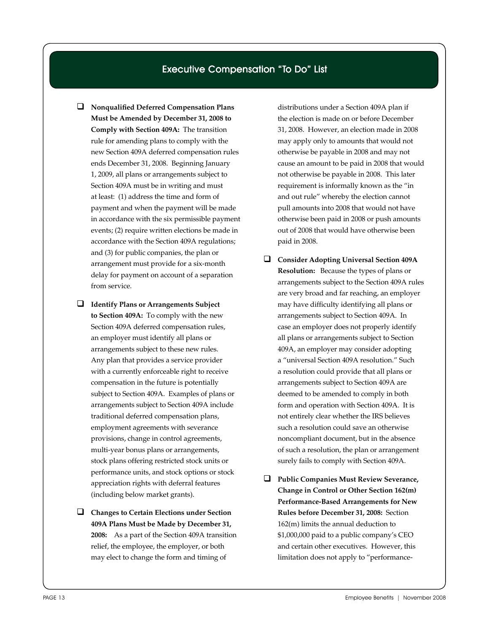#### Executive Compensation "To Do" List

- **Nonqualified Deferred Compensation Plans Must be Amended by December 31, 2008 to Comply with Section 409A:** The transition rule for amending plans to comply with the new Section 409A deferred compensation rules ends December 31, 2008. Beginning January 1, 2009, all plans or arrangements subject to Section 409A must be in writing and must at least: (1) address the time and form of payment and when the payment will be made in accordance with the six permissible payment events; (2) require written elections be made in accordance with the Section 409A regulations; and (3) for public companies, the plan or arrangement must provide for a six-month delay for payment on account of a separation from service.
- **Identify Plans or Arrangements Subject to Section 409A:** To comply with the new Section 409A deferred compensation rules, an employer must identify all plans or arrangements subject to these new rules. Any plan that provides a service provider with a currently enforceable right to receive compensation in the future is potentially subject to Section 409A. Examples of plans or arrangements subject to Section 409A include traditional deferred compensation plans, employment agreements with severance provisions, change in control agreements, multi-year bonus plans or arrangements, stock plans offering restricted stock units or performance units, and stock options or stock appreciation rights with deferral features (including below market grants).
- **Changes to Certain Elections under Section 409A Plans Must be Made by December 31, 2008:** As a part of the Section 409A transition relief, the employee, the employer, or both may elect to change the form and timing of

distributions under a Section 409A plan if the election is made on or before December 31, 2008. However, an election made in 2008 may apply only to amounts that would not otherwise be payable in 2008 and may not cause an amount to be paid in 2008 that would not otherwise be payable in 2008. This later requirement is informally known as the "in and out rule" whereby the election cannot pull amounts into 2008 that would not have otherwise been paid in 2008 or push amounts out of 2008 that would have otherwise been paid in 2008.

- **Consider Adopting Universal Section 409A Resolution:** Because the types of plans or arrangements subject to the Section 409A rules are very broad and far reaching, an employer may have difficulty identifying all plans or arrangements subject to Section 409A. In case an employer does not properly identify all plans or arrangements subject to Section 409A, an employer may consider adopting a "universal Section 409A resolution." Such a resolution could provide that all plans or arrangements subject to Section 409A are deemed to be amended to comply in both form and operation with Section 409A. It is not entirely clear whether the IRS believes such a resolution could save an otherwise noncompliant document, but in the absence of such a resolution, the plan or arrangement surely fails to comply with Section 409A.
- **Public Companies Must Review Severance, Change in Control or Other Section 162(m) Performance-Based Arrangements for New Rules before December 31, 2008:** Section 162(m) limits the annual deduction to \$1,000,000 paid to a public company's CEO and certain other executives. However, this limitation does not apply to "performance-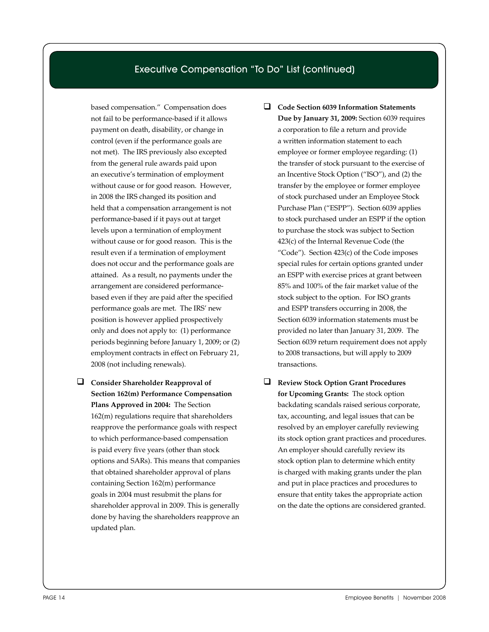#### Executive Compensation "To Do" List (continued)

based compensation." Compensation does not fail to be performance-based if it allows payment on death, disability, or change in control (even if the performance goals are not met). The IRS previously also excepted from the general rule awards paid upon an executive's termination of employment without cause or for good reason. However, in 2008 the IRS changed its position and held that a compensation arrangement is not performance-based if it pays out at target levels upon a termination of employment without cause or for good reason. This is the result even if a termination of employment does not occur and the performance goals are attained. As a result, no payments under the arrangement are considered performancebased even if they are paid after the specified performance goals are met. The IRS' new position is however applied prospectively only and does not apply to: (1) performance periods beginning before January 1, 2009; or (2) employment contracts in effect on February 21, 2008 (not including renewals).

- **Consider Shareholder Reapproval of Section 162(m) Performance Compensation Plans Approved in 2004:** The Section 162(m) regulations require that shareholders reapprove the performance goals with respect to which performance-based compensation is paid every five years (other than stock options and SARs). This means that companies that obtained shareholder approval of plans containing Section 162(m) performance goals in 2004 must resubmit the plans for shareholder approval in 2009. This is generally done by having the shareholders reapprove an updated plan.
- **Code Section 6039 Information Statements Due by January 31, 2009:** Section 6039 requires a corporation to file a return and provide a written information statement to each employee or former employee regarding: (1) the transfer of stock pursuant to the exercise of an Incentive Stock Option ("ISO"), and (2) the transfer by the employee or former employee of stock purchased under an Employee Stock Purchase Plan ("ESPP"). Section 6039 applies to stock purchased under an ESPP if the option to purchase the stock was subject to Section 423(c) of the Internal Revenue Code (the "Code"). Section 423(c) of the Code imposes special rules for certain options granted under an ESPP with exercise prices at grant between 85% and 100% of the fair market value of the stock subject to the option. For ISO grants and ESPP transfers occurring in 2008, the Section 6039 information statements must be provided no later than January 31, 2009. The Section 6039 return requirement does not apply to 2008 transactions, but will apply to 2009 transactions.
- **Review Stock Option Grant Procedures for Upcoming Grants:** The stock option backdating scandals raised serious corporate, tax, accounting, and legal issues that can be resolved by an employer carefully reviewing its stock option grant practices and procedures. An employer should carefully review its stock option plan to determine which entity is charged with making grants under the plan and put in place practices and procedures to ensure that entity takes the appropriate action on the date the options are considered granted.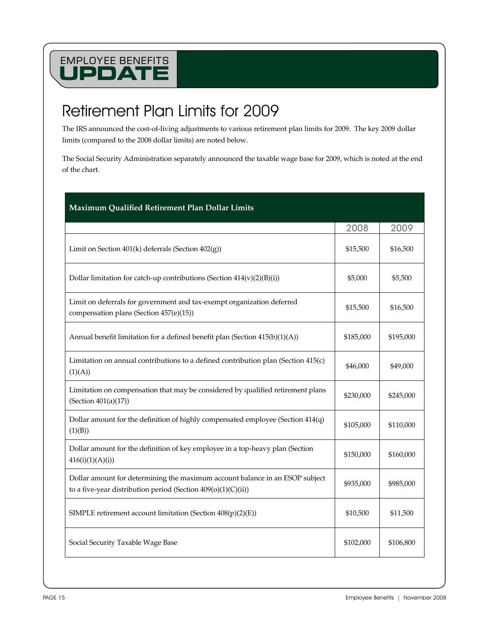## Retirement Plan Limits for 2009

The IRS announced the cost-of-living adjustments to various retirement plan limits for 2009. The key 2009 dollar limits (compared to the 2008 dollar limits) are noted below.

The Social Security Administration separately announced the taxable wage base for 2009, which is noted at the end of the chart.

| Maximum Qualified Retirement Plan Dollar Limits                                                                                                |           |           |
|------------------------------------------------------------------------------------------------------------------------------------------------|-----------|-----------|
|                                                                                                                                                | 2008      | 2009      |
| Limit on Section $401(k)$ deferrals (Section $402(g)$ )                                                                                        | \$15,500  | \$16,500  |
| Dollar limitation for catch-up contributions (Section $414(v)(2)(B(i))$                                                                        | \$5,000   | \$5,500   |
| Limit on deferrals for government and tax-exempt organization deferred<br>compensation plans (Section 457(e)(15))                              | \$15,500  | \$16,500  |
| Annual benefit limitation for a defined benefit plan (Section 415(b)(1)(A))                                                                    | \$185,000 | \$195,000 |
| Limitation on annual contributions to a defined contribution plan (Section 415(c)<br>(1)(A))                                                   | \$46,000  | \$49,000  |
| Limitation on compensation that may be considered by qualified retirement plans<br>(Section $401(a)(17)$ )                                     | \$230,000 | \$245,000 |
| Dollar amount for the definition of highly compensated employee (Section 414(q)<br>(1)(B))                                                     | \$105,000 | \$110,000 |
| Dollar amount for the definition of key employee in a top-heavy plan (Section<br>416(i)(1)(A)(i))                                              | \$150,000 | \$160,000 |
| Dollar amount for determining the maximum account balance in an ESOP subject<br>to a five-year distribution period (Section $409(o)(1)(C(ii))$ | \$935,000 | \$985,000 |
| SIMPLE retirement account limitation (Section $408(p)(2)(E)$ )                                                                                 | \$10,500  | \$11,500  |
| Social Security Taxable Wage Base                                                                                                              | \$102,000 | \$106,800 |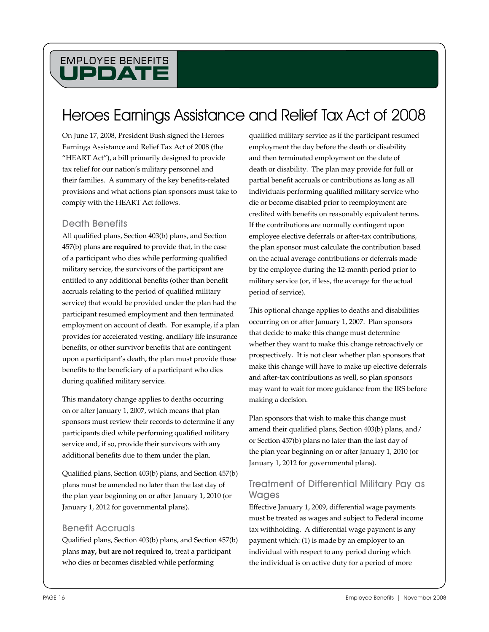## Heroes Earnings Assistance and Relief Tax Act of 2008

On June 17, 2008, President Bush signed the Heroes Earnings Assistance and Relief Tax Act of 2008 (the "HEART Act"), a bill primarily designed to provide tax relief for our nation's military personnel and their families. A summary of the key benefits-related provisions and what actions plan sponsors must take to comply with the HEART Act follows.

#### Death Benefits

All qualified plans, Section 403(b) plans, and Section 457(b) plans **are required** to provide that, in the case of a participant who dies while performing qualified military service, the survivors of the participant are entitled to any additional benefits (other than benefit accruals relating to the period of qualified military service) that would be provided under the plan had the participant resumed employment and then terminated employment on account of death. For example, if a plan provides for accelerated vesting, ancillary life insurance benefits, or other survivor benefits that are contingent upon a participant's death, the plan must provide these benefits to the beneficiary of a participant who dies during qualified military service.

This mandatory change applies to deaths occurring on or after January 1, 2007, which means that plan sponsors must review their records to determine if any participants died while performing qualified military service and, if so, provide their survivors with any additional benefits due to them under the plan.

Qualified plans, Section 403(b) plans, and Section 457(b) plans must be amended no later than the last day of the plan year beginning on or after January 1, 2010 (or January 1, 2012 for governmental plans).

#### Benefit Accruals

Qualified plans, Section 403(b) plans, and Section 457(b) plans **may, but are not required to,** treat a participant who dies or becomes disabled while performing

qualified military service as if the participant resumed employment the day before the death or disability and then terminated employment on the date of death or disability. The plan may provide for full or partial benefit accruals or contributions as long as all individuals performing qualified military service who die or become disabled prior to reemployment are credited with benefits on reasonably equivalent terms. If the contributions are normally contingent upon employee elective deferrals or after-tax contributions, the plan sponsor must calculate the contribution based on the actual average contributions or deferrals made by the employee during the 12-month period prior to military service (or, if less, the average for the actual period of service).

This optional change applies to deaths and disabilities occurring on or after January 1, 2007. Plan sponsors that decide to make this change must determine whether they want to make this change retroactively or prospectively. It is not clear whether plan sponsors that make this change will have to make up elective deferrals and after-tax contributions as well, so plan sponsors may want to wait for more guidance from the IRS before making a decision.

Plan sponsors that wish to make this change must amend their qualified plans, Section 403(b) plans, and/ or Section 457(b) plans no later than the last day of the plan year beginning on or after January 1, 2010 (or January 1, 2012 for governmental plans).

#### Treatment of Differential Military Pay as Wages

Effective January 1, 2009, differential wage payments must be treated as wages and subject to Federal income tax withholding. A differential wage payment is any payment which: (1) is made by an employer to an individual with respect to any period during which the individual is on active duty for a period of more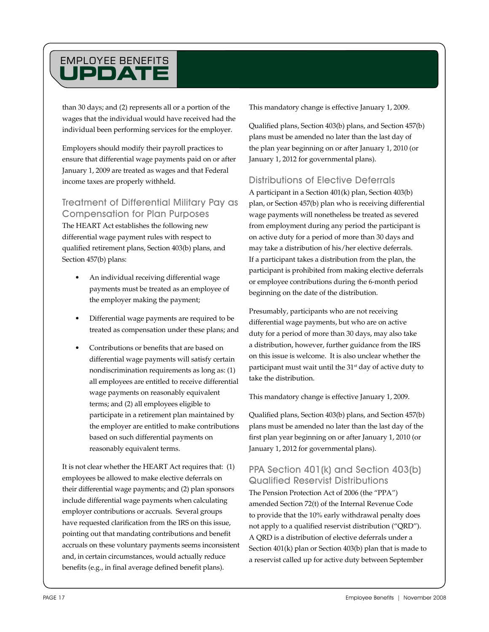than 30 days; and (2) represents all or a portion of the wages that the individual would have received had the individual been performing services for the employer.

Employers should modify their payroll practices to ensure that differential wage payments paid on or after January 1, 2009 are treated as wages and that Federal income taxes are properly withheld.

#### Treatment of Differential Military Pay as Compensation for Plan Purposes

The HEART Act establishes the following new differential wage payment rules with respect to qualified retirement plans, Section 403(b) plans, and Section 457(b) plans:

- An individual receiving differential wage payments must be treated as an employee of the employer making the payment;
- Differential wage payments are required to be treated as compensation under these plans; and
- Contributions or benefits that are based on differential wage payments will satisfy certain nondiscrimination requirements as long as: (1) all employees are entitled to receive differential wage payments on reasonably equivalent terms; and (2) all employees eligible to participate in a retirement plan maintained by the employer are entitled to make contributions based on such differential payments on reasonably equivalent terms.

It is not clear whether the HEART Act requires that: (1) employees be allowed to make elective deferrals on their differential wage payments; and (2) plan sponsors include differential wage payments when calculating employer contributions or accruals. Several groups have requested clarification from the IRS on this issue, pointing out that mandating contributions and benefit accruals on these voluntary payments seems inconsistent and, in certain circumstances, would actually reduce benefits (e.g., in final average defined benefit plans).

This mandatory change is effective January 1, 2009.

Qualified plans, Section 403(b) plans, and Section 457(b) plans must be amended no later than the last day of the plan year beginning on or after January 1, 2010 (or January 1, 2012 for governmental plans).

### Distributions of Elective Deferrals

A participant in a Section 401(k) plan, Section 403(b) plan, or Section 457(b) plan who is receiving differential wage payments will nonetheless be treated as severed from employment during any period the participant is on active duty for a period of more than 30 days and may take a distribution of his/her elective deferrals. If a participant takes a distribution from the plan, the participant is prohibited from making elective deferrals or employee contributions during the 6-month period beginning on the date of the distribution.

Presumably, participants who are not receiving differential wage payments, but who are on active duty for a period of more than 30 days, may also take a distribution, however, further guidance from the IRS on this issue is welcome. It is also unclear whether the participant must wait until the 31<sup>st</sup> day of active duty to take the distribution.

This mandatory change is effective January 1, 2009.

Qualified plans, Section 403(b) plans, and Section 457(b) plans must be amended no later than the last day of the first plan year beginning on or after January 1, 2010 (or January 1, 2012 for governmental plans).

#### PPA Section 401(k) and Section 403(b) Qualified Reservist Distributions The Pension Protection Act of 2006 (the "PPA") amended Section 72(t) of the Internal Revenue Code

to provide that the 10% early withdrawal penalty does not apply to a qualified reservist distribution ("QRD"). A QRD is a distribution of elective deferrals under a Section 401(k) plan or Section 403(b) plan that is made to a reservist called up for active duty between September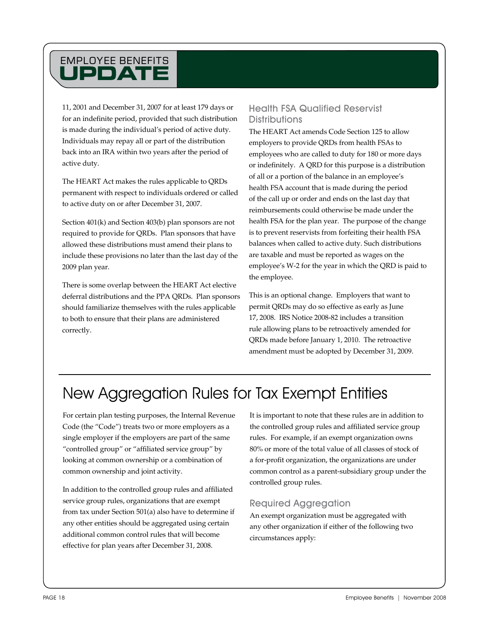11, 2001 and December 31, 2007 for at least 179 days or for an indefinite period, provided that such distribution is made during the individual's period of active duty. Individuals may repay all or part of the distribution back into an IRA within two years after the period of active duty.

The HEART Act makes the rules applicable to QRDs permanent with respect to individuals ordered or called to active duty on or after December 31, 2007.

Section 401(k) and Section 403(b) plan sponsors are not required to provide for QRDs. Plan sponsors that have allowed these distributions must amend their plans to include these provisions no later than the last day of the 2009 plan year.

There is some overlap between the HEART Act elective deferral distributions and the PPA QRDs. Plan sponsors should familiarize themselves with the rules applicable to both to ensure that their plans are administered correctly.

#### Health FSA Qualified Reservist **Distributions**

The HEART Act amends Code Section 125 to allow employers to provide QRDs from health FSAs to employees who are called to duty for 180 or more days or indefinitely. A QRD for this purpose is a distribution of all or a portion of the balance in an employee's health FSA account that is made during the period of the call up or order and ends on the last day that reimbursements could otherwise be made under the health FSA for the plan year. The purpose of the change is to prevent reservists from forfeiting their health FSA balances when called to active duty. Such distributions are taxable and must be reported as wages on the employee's W-2 for the year in which the QRD is paid to the employee.

This is an optional change. Employers that want to permit QRDs may do so effective as early as June 17, 2008. IRS Notice 2008-82 includes a transition rule allowing plans to be retroactively amended for QRDs made before January 1, 2010. The retroactive amendment must be adopted by December 31, 2009.

## New Aggregation Rules for Tax Exempt Entities

For certain plan testing purposes, the Internal Revenue Code (the "Code") treats two or more employers as a single employer if the employers are part of the same "controlled group" or "affiliated service group" by looking at common ownership or a combination of common ownership and joint activity.

In addition to the controlled group rules and affiliated service group rules, organizations that are exempt from tax under Section 501(a) also have to determine if any other entities should be aggregated using certain additional common control rules that will become effective for plan years after December 31, 2008.

It is important to note that these rules are in addition to the controlled group rules and affiliated service group rules. For example, if an exempt organization owns 80% or more of the total value of all classes of stock of a for-profit organization, the organizations are under common control as a parent-subsidiary group under the controlled group rules.

#### Required Aggregation

An exempt organization must be aggregated with any other organization if either of the following two circumstances apply: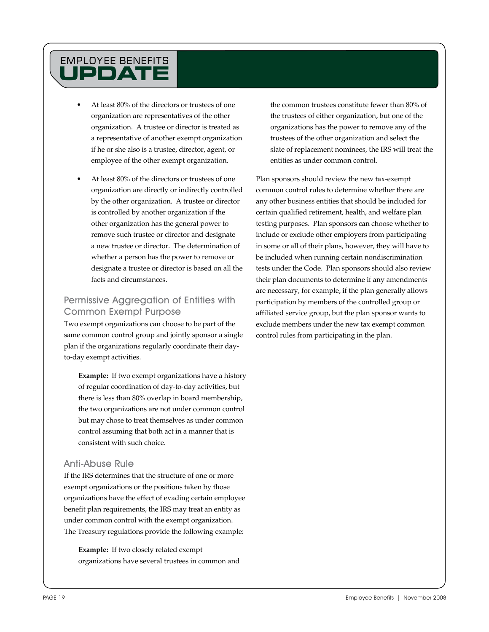- At least 80% of the directors or trustees of one organization are representatives of the other organization. A trustee or director is treated as a representative of another exempt organization if he or she also is a trustee, director, agent, or employee of the other exempt organization.
- At least 80% of the directors or trustees of one organization are directly or indirectly controlled by the other organization. A trustee or director is controlled by another organization if the other organization has the general power to remove such trustee or director and designate a new trustee or director. The determination of whether a person has the power to remove or designate a trustee or director is based on all the facts and circumstances.

#### Permissive Aggregation of Entities with Common Exempt Purpose

Two exempt organizations can choose to be part of the same common control group and jointly sponsor a single plan if the organizations regularly coordinate their dayto-day exempt activities.

**Example:** If two exempt organizations have a history of regular coordination of day-to-day activities, but there is less than 80% overlap in board membership, the two organizations are not under common control but may chose to treat themselves as under common control assuming that both act in a manner that is consistent with such choice.

#### Anti-Abuse Rule

If the IRS determines that the structure of one or more exempt organizations or the positions taken by those organizations have the effect of evading certain employee benefit plan requirements, the IRS may treat an entity as under common control with the exempt organization. The Treasury regulations provide the following example:

**Example:** If two closely related exempt organizations have several trustees in common and the common trustees constitute fewer than 80% of the trustees of either organization, but one of the organizations has the power to remove any of the trustees of the other organization and select the slate of replacement nominees, the IRS will treat the entities as under common control.

Plan sponsors should review the new tax-exempt common control rules to determine whether there are any other business entities that should be included for certain qualified retirement, health, and welfare plan testing purposes. Plan sponsors can choose whether to include or exclude other employers from participating in some or all of their plans, however, they will have to be included when running certain nondiscrimination tests under the Code. Plan sponsors should also review their plan documents to determine if any amendments are necessary, for example, if the plan generally allows participation by members of the controlled group or affiliated service group, but the plan sponsor wants to exclude members under the new tax exempt common control rules from participating in the plan.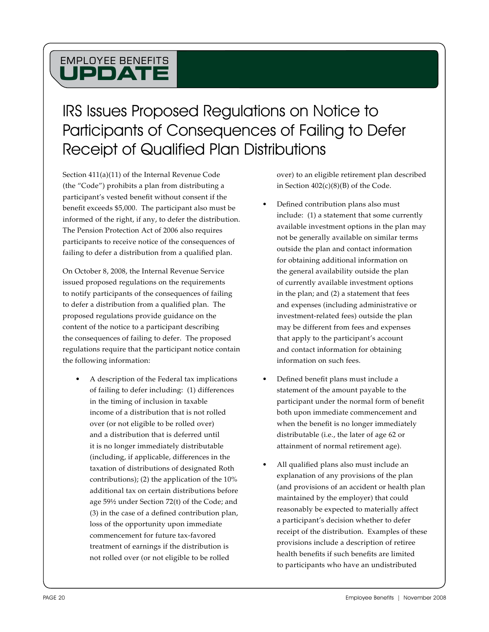## IRS Issues Proposed Regulations on Notice to Participants of Consequences of Failing to Defer Receipt of Qualified Plan Distributions

Section 411(a)(11) of the Internal Revenue Code (the "Code") prohibits a plan from distributing a participant's vested benefit without consent if the benefit exceeds \$5,000. The participant also must be informed of the right, if any, to defer the distribution. The Pension Protection Act of 2006 also requires participants to receive notice of the consequences of failing to defer a distribution from a qualified plan.

On October 8, 2008, the Internal Revenue Service issued proposed regulations on the requirements to notify participants of the consequences of failing to defer a distribution from a qualified plan. The proposed regulations provide guidance on the content of the notice to a participant describing the consequences of failing to defer. The proposed regulations require that the participant notice contain the following information:

A description of the Federal tax implications of failing to defer including: (1) differences in the timing of inclusion in taxable income of a distribution that is not rolled over (or not eligible to be rolled over) and a distribution that is deferred until it is no longer immediately distributable (including, if applicable, differences in the taxation of distributions of designated Roth contributions); (2) the application of the 10% additional tax on certain distributions before age 59½ under Section 72(t) of the Code; and (3) in the case of a defined contribution plan, loss of the opportunity upon immediate commencement for future tax-favored treatment of earnings if the distribution is not rolled over (or not eligible to be rolled

over) to an eligible retirement plan described in Section  $402(c)(8)(B)$  of the Code.

- Defined contribution plans also must include: (1) a statement that some currently available investment options in the plan may not be generally available on similar terms outside the plan and contact information for obtaining additional information on the general availability outside the plan of currently available investment options in the plan; and (2) a statement that fees and expenses (including administrative or investment-related fees) outside the plan may be different from fees and expenses that apply to the participant's account and contact information for obtaining information on such fees.
- Defined benefit plans must include a statement of the amount payable to the participant under the normal form of benefit both upon immediate commencement and when the benefit is no longer immediately distributable (i.e., the later of age 62 or attainment of normal retirement age).
- All qualified plans also must include an explanation of any provisions of the plan (and provisions of an accident or health plan maintained by the employer) that could reasonably be expected to materially affect a participant's decision whether to defer receipt of the distribution. Examples of these provisions include a description of retiree health benefits if such benefits are limited to participants who have an undistributed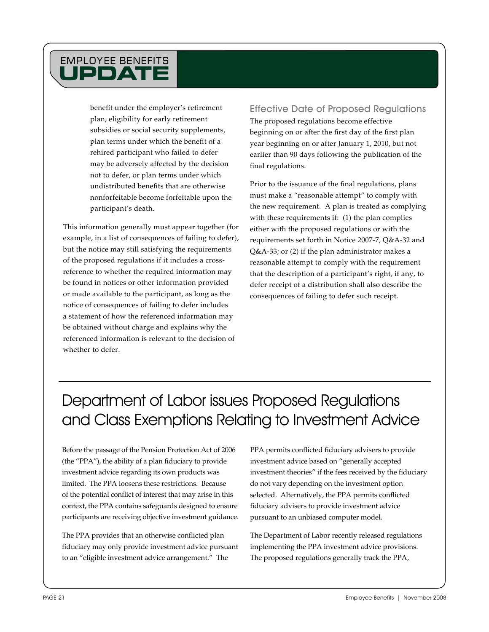benefit under the employer's retirement plan, eligibility for early retirement subsidies or social security supplements, plan terms under which the benefit of a rehired participant who failed to defer may be adversely affected by the decision not to defer, or plan terms under which undistributed benefits that are otherwise nonforfeitable become forfeitable upon the participant's death.

This information generally must appear together (for example, in a list of consequences of failing to defer), but the notice may still satisfying the requirements of the proposed regulations if it includes a crossreference to whether the required information may be found in notices or other information provided or made available to the participant, as long as the notice of consequences of failing to defer includes a statement of how the referenced information may be obtained without charge and explains why the referenced information is relevant to the decision of whether to defer.

Effective Date of Proposed Regulations The proposed regulations become effective beginning on or after the first day of the first plan year beginning on or after January 1, 2010, but not earlier than 90 days following the publication of the final regulations.

Prior to the issuance of the final regulations, plans must make a "reasonable attempt" to comply with the new requirement. A plan is treated as complying with these requirements if: (1) the plan complies either with the proposed regulations or with the requirements set forth in Notice 2007-7, Q&A-32 and Q&A-33; or (2) if the plan administrator makes a reasonable attempt to comply with the requirement that the description of a participant's right, if any, to defer receipt of a distribution shall also describe the consequences of failing to defer such receipt.

## Department of Labor issues Proposed Regulations and Class Exemptions Relating to Investment Advice

Before the passage of the Pension Protection Act of 2006 (the "PPA"), the ability of a plan fiduciary to provide investment advice regarding its own products was limited. The PPA loosens these restrictions. Because of the potential conflict of interest that may arise in this context, the PPA contains safeguards designed to ensure participants are receiving objective investment guidance.

The PPA provides that an otherwise conflicted plan fiduciary may only provide investment advice pursuant to an "eligible investment advice arrangement." The

PPA permits conflicted fiduciary advisers to provide investment advice based on "generally accepted investment theories" if the fees received by the fiduciary do not vary depending on the investment option selected. Alternatively, the PPA permits conflicted fiduciary advisers to provide investment advice pursuant to an unbiased computer model.

The Department of Labor recently released regulations implementing the PPA investment advice provisions. The proposed regulations generally track the PPA,